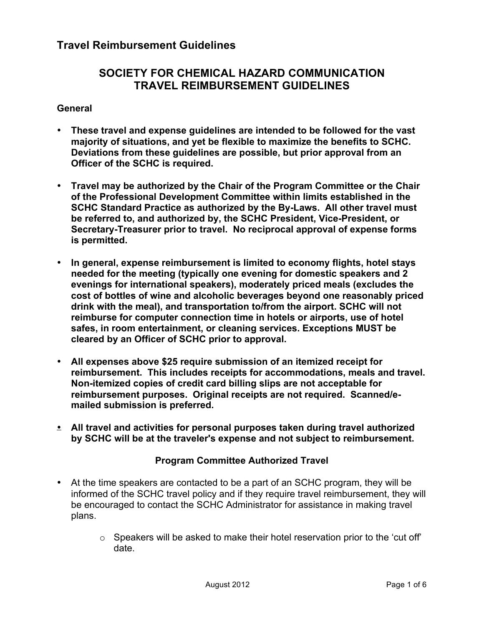# **SOCIETY FOR CHEMICAL HAZARD COMMUNICATION TRAVEL REIMBURSEMENT GUIDELINES**

#### **General**

- **These travel and expense guidelines are intended to be followed for the vast majority of situations, and yet be flexible to maximize the benefits to SCHC. Deviations from these guidelines are possible, but prior approval from an Officer of the SCHC is required.**
- **Travel may be authorized by the Chair of the Program Committee or the Chair of the Professional Development Committee within limits established in the SCHC Standard Practice as authorized by the By-Laws. All other travel must be referred to, and authorized by, the SCHC President, Vice-President, or Secretary-Treasurer prior to travel. No reciprocal approval of expense forms is permitted.**
- **In general, expense reimbursement is limited to economy flights, hotel stays needed for the meeting (typically one evening for domestic speakers and 2 evenings for international speakers), moderately priced meals (excludes the cost of bottles of wine and alcoholic beverages beyond one reasonably priced drink with the meal), and transportation to/from the airport. SCHC will not reimburse for computer connection time in hotels or airports, use of hotel safes, in room entertainment, or cleaning services. Exceptions MUST be cleared by an Officer of SCHC prior to approval.**
- **All expenses above \$25 require submission of an itemized receipt for reimbursement. This includes receipts for accommodations, meals and travel. Non-itemized copies of credit card billing slips are not acceptable for reimbursement purposes. Original receipts are not required. Scanned/emailed submission is preferred.**
- **All travel and activities for personal purposes taken during travel authorized by SCHC will be at the traveler's expense and not subject to reimbursement.**

#### **Program Committee Authorized Travel**

- At the time speakers are contacted to be a part of an SCHC program, they will be informed of the SCHC travel policy and if they require travel reimbursement, they will be encouraged to contact the SCHC Administrator for assistance in making travel plans.
	- $\circ$  Speakers will be asked to make their hotel reservation prior to the 'cut off' date.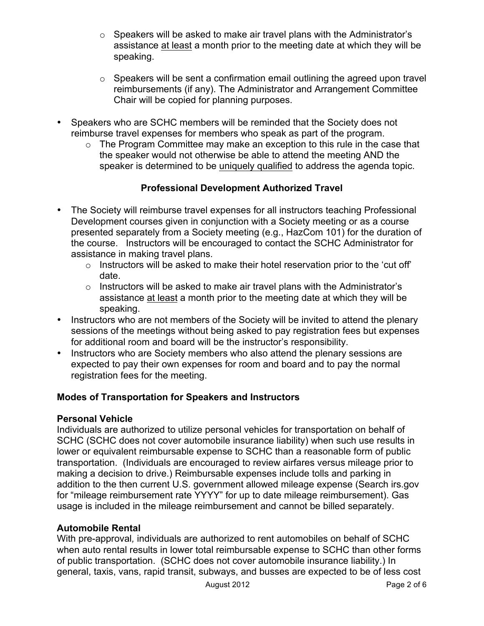- o Speakers will be asked to make air travel plans with the Administrator's assistance at least a month prior to the meeting date at which they will be speaking.
- $\circ$  Speakers will be sent a confirmation email outlining the agreed upon travel reimbursements (if any). The Administrator and Arrangement Committee Chair will be copied for planning purposes.
- Speakers who are SCHC members will be reminded that the Society does not reimburse travel expenses for members who speak as part of the program.
	- o The Program Committee may make an exception to this rule in the case that the speaker would not otherwise be able to attend the meeting AND the speaker is determined to be uniquely qualified to address the agenda topic.

## **Professional Development Authorized Travel**

- The Society will reimburse travel expenses for all instructors teaching Professional Development courses given in conjunction with a Society meeting or as a course presented separately from a Society meeting (e.g., HazCom 101) for the duration of the course. Instructors will be encouraged to contact the SCHC Administrator for assistance in making travel plans.
	- $\circ$  Instructors will be asked to make their hotel reservation prior to the 'cut off' date.
	- o Instructors will be asked to make air travel plans with the Administrator's assistance at least a month prior to the meeting date at which they will be speaking.
- Instructors who are not members of the Society will be invited to attend the plenary sessions of the meetings without being asked to pay registration fees but expenses for additional room and board will be the instructor's responsibility.
- Instructors who are Society members who also attend the plenary sessions are expected to pay their own expenses for room and board and to pay the normal registration fees for the meeting.

## **Modes of Transportation for Speakers and Instructors**

#### **Personal Vehicle**

Individuals are authorized to utilize personal vehicles for transportation on behalf of SCHC (SCHC does not cover automobile insurance liability) when such use results in lower or equivalent reimbursable expense to SCHC than a reasonable form of public transportation. (Individuals are encouraged to review airfares versus mileage prior to making a decision to drive.) Reimbursable expenses include tolls and parking in addition to the then current U.S. government allowed mileage expense (Search irs.gov for "mileage reimbursement rate YYYY" for up to date mileage reimbursement). Gas usage is included in the mileage reimbursement and cannot be billed separately.

#### **Automobile Rental**

With pre-approval*,* individuals are authorized to rent automobiles on behalf of SCHC when auto rental results in lower total reimbursable expense to SCHC than other forms of public transportation. (SCHC does not cover automobile insurance liability.) In general, taxis, vans, rapid transit, subways, and busses are expected to be of less cost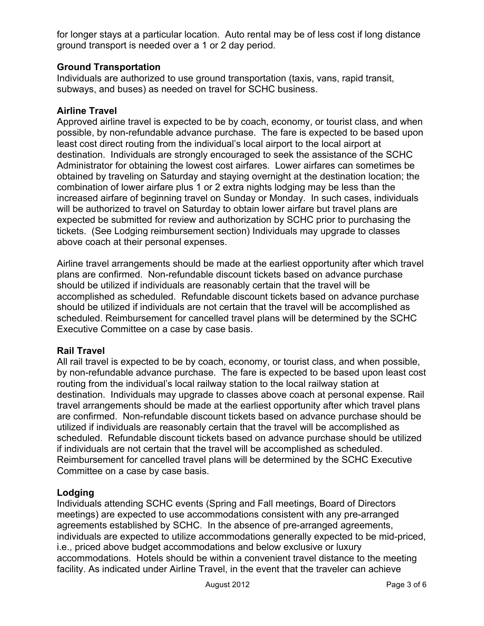for longer stays at a particular location. Auto rental may be of less cost if long distance ground transport is needed over a 1 or 2 day period.

## **Ground Transportation**

Individuals are authorized to use ground transportation (taxis, vans, rapid transit, subways, and buses) as needed on travel for SCHC business.

#### **Airline Travel**

Approved airline travel is expected to be by coach, economy, or tourist class, and when possible, by non-refundable advance purchase. The fare is expected to be based upon least cost direct routing from the individual's local airport to the local airport at destination. Individuals are strongly encouraged to seek the assistance of the SCHC Administrator for obtaining the lowest cost airfares. Lower airfares can sometimes be obtained by traveling on Saturday and staying overnight at the destination location; the combination of lower airfare plus 1 or 2 extra nights lodging may be less than the increased airfare of beginning travel on Sunday or Monday. In such cases, individuals will be authorized to travel on Saturday to obtain lower airfare but travel plans are expected be submitted for review and authorization by SCHC prior to purchasing the tickets. (See Lodging reimbursement section) Individuals may upgrade to classes above coach at their personal expenses.

Airline travel arrangements should be made at the earliest opportunity after which travel plans are confirmed. Non-refundable discount tickets based on advance purchase should be utilized if individuals are reasonably certain that the travel will be accomplished as scheduled. Refundable discount tickets based on advance purchase should be utilized if individuals are not certain that the travel will be accomplished as scheduled. Reimbursement for cancelled travel plans will be determined by the SCHC Executive Committee on a case by case basis.

#### **Rail Travel**

All rail travel is expected to be by coach, economy, or tourist class, and when possible, by non-refundable advance purchase. The fare is expected to be based upon least cost routing from the individual's local railway station to the local railway station at destination. Individuals may upgrade to classes above coach at personal expense. Rail travel arrangements should be made at the earliest opportunity after which travel plans are confirmed. Non-refundable discount tickets based on advance purchase should be utilized if individuals are reasonably certain that the travel will be accomplished as scheduled. Refundable discount tickets based on advance purchase should be utilized if individuals are not certain that the travel will be accomplished as scheduled. Reimbursement for cancelled travel plans will be determined by the SCHC Executive Committee on a case by case basis.

#### **Lodging**

Individuals attending SCHC events (Spring and Fall meetings, Board of Directors meetings) are expected to use accommodations consistent with any pre-arranged agreements established by SCHC. In the absence of pre-arranged agreements, individuals are expected to utilize accommodations generally expected to be mid-priced, i.e., priced above budget accommodations and below exclusive or luxury accommodations. Hotels should be within a convenient travel distance to the meeting facility. As indicated under Airline Travel, in the event that the traveler can achieve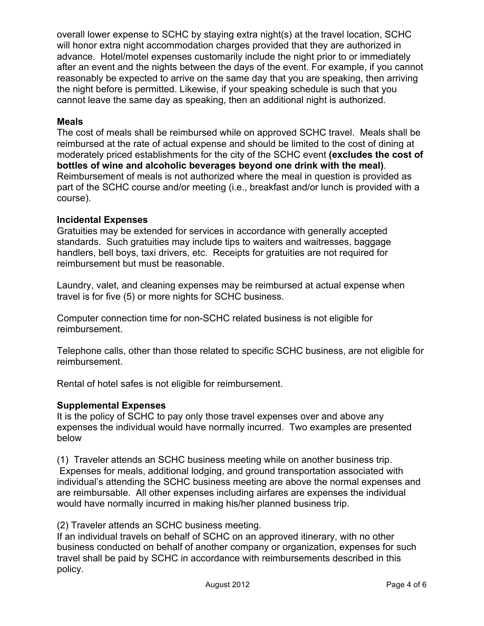overall lower expense to SCHC by staying extra night(s) at the travel location, SCHC will honor extra night accommodation charges provided that they are authorized in advance. Hotel/motel expenses customarily include the night prior to or immediately after an event and the nights between the days of the event. For example, if you cannot reasonably be expected to arrive on the same day that you are speaking, then arriving the night before is permitted. Likewise, if your speaking schedule is such that you cannot leave the same day as speaking, then an additional night is authorized.

### **Meals**

The cost of meals shall be reimbursed while on approved SCHC travel. Meals shall be reimbursed at the rate of actual expense and should be limited to the cost of dining at moderately priced establishments for the city of the SCHC event **(excludes the cost of bottles of wine and alcoholic beverages beyond one drink with the meal)**. Reimbursement of meals is not authorized where the meal in question is provided as part of the SCHC course and/or meeting (i.e., breakfast and/or lunch is provided with a course).

## **Incidental Expenses**

Gratuities may be extended for services in accordance with generally accepted standards. Such gratuities may include tips to waiters and waitresses, baggage handlers, bell boys, taxi drivers, etc. Receipts for gratuities are not required for reimbursement but must be reasonable.

Laundry, valet, and cleaning expenses may be reimbursed at actual expense when travel is for five (5) or more nights for SCHC business.

Computer connection time for non-SCHC related business is not eligible for reimbursement.

Telephone calls, other than those related to specific SCHC business, are not eligible for reimbursement.

Rental of hotel safes is not eligible for reimbursement.

#### **Supplemental Expenses**

It is the policy of SCHC to pay only those travel expenses over and above any expenses the individual would have normally incurred. Two examples are presented below

(1) Traveler attends an SCHC business meeting while on another business trip. Expenses for meals, additional lodging, and ground transportation associated with individual's attending the SCHC business meeting are above the normal expenses and are reimbursable. All other expenses including airfares are expenses the individual would have normally incurred in making his/her planned business trip.

## (2) Traveler attends an SCHC business meeting.

If an individual travels on behalf of SCHC on an approved itinerary, with no other business conducted on behalf of another company or organization, expenses for such travel shall be paid by SCHC in accordance with reimbursements described in this policy.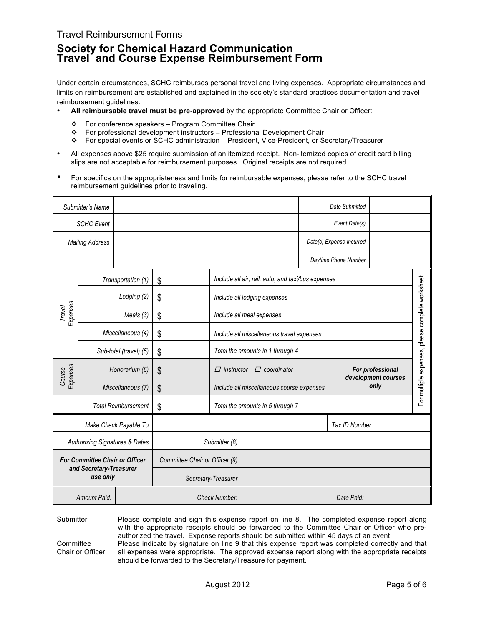### Travel Reimbursement Forms

## **Society for Chemical Hazard Communication Travel and Course Expense Reimbursement Form**

Under certain circumstances, SCHC reimburses personal travel and living expenses. Appropriate circumstances and limits on reimbursement are established and explained in the society's standard practices documentation and travel reimbursement guidelines.

- **All reimbursable travel must be pre-approved** by the appropriate Committee Chair or Officer:
	- $\div$  For conference speakers Program Committee Chair
	- For professional development instructors Professional Development Chair
	- For special events or SCHC administration President, Vice-President, or Secretary/Treasurer
- All expenses above \$25 require submission of an itemized receipt. Non-itemized copies of credit card billing slips are not acceptable for reimbursement purposes. Original receipts are not required.
- For specifics on the appropriateness and limits for reimbursable expenses, please refer to the SCHC travel reimbursement guidelines prior to traveling.

| Submitter's Name                          |                              |                         |                                |                                  |                                                                                    |                                                    |               | Date Submitted                                   |  |  |
|-------------------------------------------|------------------------------|-------------------------|--------------------------------|----------------------------------|------------------------------------------------------------------------------------|----------------------------------------------------|---------------|--------------------------------------------------|--|--|
| <b>SCHC Event</b>                         |                              |                         |                                |                                  |                                                                                    | Event Date(s)                                      |               |                                                  |  |  |
| <b>Mailing Address</b>                    |                              |                         |                                |                                  |                                                                                    |                                                    |               | Date(s) Expense Incurred                         |  |  |
|                                           |                              |                         |                                |                                  |                                                                                    |                                                    |               | Daytime Phone Number                             |  |  |
|                                           |                              | Transportation (1)      | \$                             |                                  |                                                                                    | Include all air, rail, auto, and taxi/bus expenses |               |                                                  |  |  |
|                                           |                              | Lodging (2)             | \$                             |                                  |                                                                                    | Include all lodging expenses                       |               |                                                  |  |  |
| Expenses<br>Travel                        |                              | Meals (3)               | \$                             |                                  |                                                                                    | Include all meal expenses                          |               |                                                  |  |  |
|                                           |                              | Miscellaneous (4)<br>\$ |                                |                                  |                                                                                    | Include all miscellaneous travel expenses          |               |                                                  |  |  |
|                                           | Sub-total (travel) (5)<br>\$ |                         |                                |                                  | Total the amounts in 1 through 4                                                   |                                                    |               |                                                  |  |  |
| Expenses<br>Course                        |                              | Honorarium (6)<br>\$    |                                |                                  | $\Box$ coordinator<br>For professional<br>$\Box$ instructor<br>development courses |                                                    |               | For multiple expenses, please complete worksheet |  |  |
|                                           | Miscellaneous (7)<br>\$      |                         |                                |                                  | only<br>Include all miscellaneous course expenses                                  |                                                    |               |                                                  |  |  |
| <b>Total Reimbursement</b>                |                              | \$                      |                                | Total the amounts in 5 through 7 |                                                                                    |                                                    |               |                                                  |  |  |
| Make Check Payable To                     |                              |                         |                                |                                  |                                                                                    |                                                    | Tax ID Number |                                                  |  |  |
| <b>Authorizing Signatures &amp; Dates</b> |                              |                         |                                | Submitter (8)                    |                                                                                    |                                                    |               |                                                  |  |  |
| For Committee Chair or Officer            |                              |                         | Committee Chair or Officer (9) |                                  |                                                                                    |                                                    |               |                                                  |  |  |
| and Secretary-Treasurer<br>use only       |                              | Secretary-Treasurer     |                                |                                  |                                                                                    |                                                    |               |                                                  |  |  |
| Amount Paid:                              |                              |                         |                                | <b>Check Number:</b>             |                                                                                    |                                                    | Date Paid:    |                                                  |  |  |

Submitter Please complete and sign this expense report on line 8. The completed expense report along with the appropriate receipts should be forwarded to the Committee Chair or Officer who preauthorized the travel. Expense reports should be submitted within 45 days of an event.

**Committee** Chair or Officer Please indicate by signature on line 9 that this expense report was completed correctly and that all expenses were appropriate. The approved expense report along with the appropriate receipts should be forwarded to the Secretary/Treasure for payment.